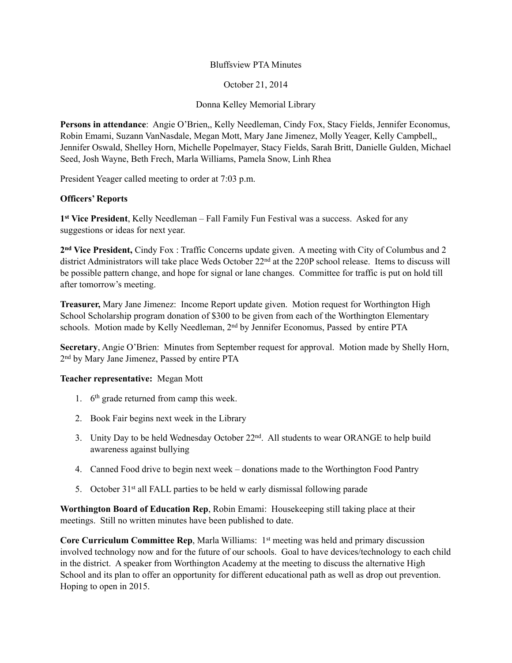## Bluffsview PTA Minutes

October 21, 2014

Donna Kelley Memorial Library

**Persons in attendance**: Angie O'Brien,, Kelly Needleman, Cindy Fox, Stacy Fields, Jennifer Economus, Robin Emami, Suzann VanNasdale, Megan Mott, Mary Jane Jimenez, Molly Yeager, Kelly Campbell,, Jennifer Oswald, Shelley Horn, Michelle Popelmayer, Stacy Fields, Sarah Britt, Danielle Gulden, Michael Seed, Josh Wayne, Beth Frech, Marla Williams, Pamela Snow, Linh Rhea

President Yeager called meeting to order at 7:03 p.m.

## **Officers' Reports**

**1st Vice President**, Kelly Needleman – Fall Family Fun Festival was a success. Asked for any suggestions or ideas for next year.

**2nd Vice President,** Cindy Fox : Traffic Concerns update given. A meeting with City of Columbus and 2 district Administrators will take place Weds October 22<sup>nd</sup> at the 220P school release. Items to discuss will be possible pattern change, and hope for signal or lane changes. Committee for traffic is put on hold till after tomorrow's meeting.

**Treasurer,** Mary Jane Jimenez: Income Report update given. Motion request for Worthington High School Scholarship program donation of \$300 to be given from each of the Worthington Elementary schools. Motion made by Kelly Needleman, 2<sup>nd</sup> by Jennifer Economus, Passed by entire PTA

**Secretary**, Angie O'Brien: Minutes from September request for approval. Motion made by Shelly Horn, 2nd by Mary Jane Jimenez, Passed by entire PTA

#### **Teacher representative:** Megan Mott

- 1. 6<sup>th</sup> grade returned from camp this week.
- 2. Book Fair begins next week in the Library
- 3. Unity Day to be held Wednesday October 22nd. All students to wear ORANGE to help build awareness against bullying
- 4. Canned Food drive to begin next week donations made to the Worthington Food Pantry
- 5. October 31st all FALL parties to be held w early dismissal following parade

**Worthington Board of Education Rep**, Robin Emami: Housekeeping still taking place at their meetings. Still no written minutes have been published to date.

**Core Curriculum Committee Rep, Marla Williams: 1<sup>st</sup> meeting was held and primary discussion** involved technology now and for the future of our schools. Goal to have devices/technology to each child in the district. A speaker from Worthington Academy at the meeting to discuss the alternative High School and its plan to offer an opportunity for different educational path as well as drop out prevention. Hoping to open in 2015.